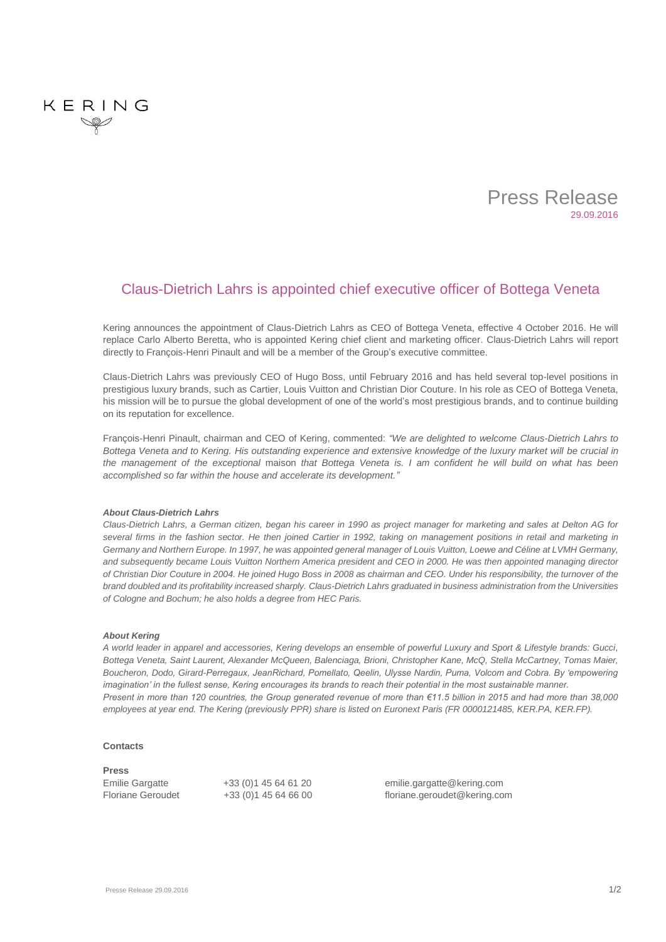

# Claus-Dietrich Lahrs is appointed chief executive officer of Bottega Veneta

Kering announces the appointment of Claus-Dietrich Lahrs as CEO of Bottega Veneta, effective 4 October 2016. He will replace Carlo Alberto Beretta, who is appointed Kering chief client and marketing officer. Claus-Dietrich Lahrs will report directly to François-Henri Pinault and will be a member of the Group's executive committee.

Claus-Dietrich Lahrs was previously CEO of Hugo Boss, until February 2016 and has held several top-level positions in prestigious luxury brands, such as Cartier, Louis Vuitton and Christian Dior Couture. In his role as CEO of Bottega Veneta, his mission will be to pursue the global development of one of the world's most prestigious brands, and to continue building on its reputation for excellence.

François-Henri Pinault, chairman and CEO of Kering, commented: *"We are delighted to welcome Claus-Dietrich Lahrs to Bottega Veneta and to Kering. His outstanding experience and extensive knowledge of the luxury market will be crucial in the management of the exceptional* maison *that Bottega Veneta is. I am confident he will build on what has been accomplished so far within the house and accelerate its development."*

## *About Claus-Dietrich Lahrs*

*Claus-Dietrich Lahrs, a German citizen, began his career in 1990 as project manager for marketing and sales at Delton AG for several firms in the fashion sector. He then joined Cartier in 1992, taking on management positions in retail and marketing in Germany and Northern Europe. In 1997, he was appointed general manager of Louis Vuitton, Loewe and Céline at LVMH Germany, and subsequently became Louis Vuitton Northern America president and CEO in 2000. He was then appointed managing director of Christian Dior Couture in 2004. He joined Hugo Boss in 2008 as chairman and CEO. Under his responsibility, the turnover of the brand doubled and its profitability increased sharply. Claus-Dietrich Lahrs graduated in business administration from the Universities of Cologne and Bochum; he also holds a degree from HEC Paris.*

# *About Kering*

KERING

*A world leader in apparel and accessories, Kering develops an ensemble of powerful Luxury and Sport & Lifestyle brands: Gucci, Bottega Veneta, Saint Laurent, Alexander McQueen, Balenciaga, Brioni, Christopher Kane, McQ, Stella McCartney, Tomas Maier, Boucheron, Dodo, Girard-Perregaux, JeanRichard, Pomellato, Qeelin, Ulysse Nardin, Puma, Volcom and Cobra. By 'empowering imagination' in the fullest sense, Kering encourages its brands to reach their potential in the most sustainable manner. Present in more than 120 countries, the Group generated revenue of more than €11.5 billion in 2015 and had more than 38,000 employees at year end. The Kering (previously PPR) share is listed on Euronext Paris (FR 0000121485, KER.PA, KER.FP).*

## **Contacts**

#### **Press**

Emilie Gargatte  $+33$  (0)1 45 64 61 20 [emilie.gargatte@kering.com](mailto:emilie.gargatte@kering.com) Floriane Geroudet +33 (0)1 45 64 66 00 [floriane.geroudet@kering.com](mailto:floriane.geroudet@kering.com)